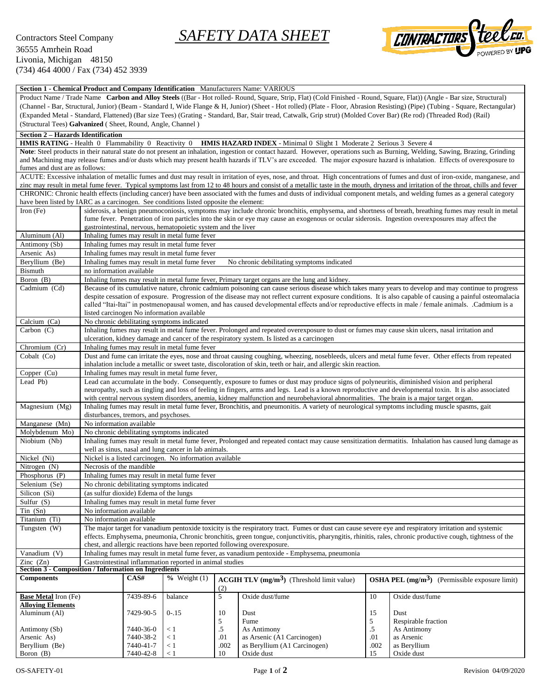## Contractors Steel Company *SAFETY DATA SHEET*



| Section 1 - Chemical Product and Company Identification Manufacturers Name: VARIOUS                                                                                                                        |                                                                                                                                                                   |                        |                                                          |             |                                                                                                                                                                      |             |                                                                                                                                                                                     |  |  |  |  |  |  |
|------------------------------------------------------------------------------------------------------------------------------------------------------------------------------------------------------------|-------------------------------------------------------------------------------------------------------------------------------------------------------------------|------------------------|----------------------------------------------------------|-------------|----------------------------------------------------------------------------------------------------------------------------------------------------------------------|-------------|-------------------------------------------------------------------------------------------------------------------------------------------------------------------------------------|--|--|--|--|--|--|
| Product Name / Trade Name Carbon and Alloy Steels ((Bar - Hot rolled- Round, Square, Strip, Flat) (Cold Finished - Round, Square, Flat)) (Angle - Bar size, Structural)                                    |                                                                                                                                                                   |                        |                                                          |             |                                                                                                                                                                      |             |                                                                                                                                                                                     |  |  |  |  |  |  |
|                                                                                                                                                                                                            |                                                                                                                                                                   |                        |                                                          |             |                                                                                                                                                                      |             | (Channel - Bar, Structural, Junior) (Beam - Standard I, Wide Flange & H, Junior) (Sheet - Hot rolled) (Plate - Floor, Abrasion Resisting) (Pipe) (Tubing - Square, Rectangular)     |  |  |  |  |  |  |
|                                                                                                                                                                                                            |                                                                                                                                                                   |                        |                                                          |             | (Expanded Metal - Standard, Flattened) (Bar size Tees) (Grating - Standard, Bar, Stair tread, Catwalk, Grip strut) (Molded Cover Bar) (Re rod) (Threaded Rod) (Rail) |             |                                                                                                                                                                                     |  |  |  |  |  |  |
| (Structural Tees) Galvanized (Sheet, Round, Angle, Channel)                                                                                                                                                |                                                                                                                                                                   |                        |                                                          |             |                                                                                                                                                                      |             |                                                                                                                                                                                     |  |  |  |  |  |  |
| <b>Section 2 - Hazards Identification</b>                                                                                                                                                                  |                                                                                                                                                                   |                        |                                                          |             |                                                                                                                                                                      |             |                                                                                                                                                                                     |  |  |  |  |  |  |
| HMIS RATING - Health 0 Flammability 0 Reactivity 0 HMIS HAZARD INDEX - Minimal 0 Slight 1 Moderate 2 Serious 3 Severe 4                                                                                    |                                                                                                                                                                   |                        |                                                          |             |                                                                                                                                                                      |             |                                                                                                                                                                                     |  |  |  |  |  |  |
| Note: Steel products in their natural state do not present an inhalation, ingestion or contact hazard. However, operations such as Burning, Welding, Sawing, Brazing, Grinding                             |                                                                                                                                                                   |                        |                                                          |             |                                                                                                                                                                      |             |                                                                                                                                                                                     |  |  |  |  |  |  |
| and Machining may release fumes and/or dusts which may present health hazards if TLV's are exceeded. The major exposure hazard is inhalation. Effects of overexposure to<br>fumes and dust are as follows: |                                                                                                                                                                   |                        |                                                          |             |                                                                                                                                                                      |             |                                                                                                                                                                                     |  |  |  |  |  |  |
| ACUTE: Excessive inhalation of metallic fumes and dust may result in irritation of eyes, nose, and throat. High concentrations of fumes and dust of iron-oxide, manganese, and                             |                                                                                                                                                                   |                        |                                                          |             |                                                                                                                                                                      |             |                                                                                                                                                                                     |  |  |  |  |  |  |
|                                                                                                                                                                                                            |                                                                                                                                                                   |                        |                                                          |             |                                                                                                                                                                      |             | zinc may result in metal fume fever. Typical symptoms last from 12 to 48 hours and consist of a metallic taste in the mouth, dryness and irritation of the throat, chills and fever |  |  |  |  |  |  |
| CHRONIC: Chronic health effects (including cancer) have been associated with the fumes and dusts of individual component metals, and welding fumes as a general category                                   |                                                                                                                                                                   |                        |                                                          |             |                                                                                                                                                                      |             |                                                                                                                                                                                     |  |  |  |  |  |  |
| have been listed by IARC as a carcinogen. See conditions listed opposite the element:                                                                                                                      |                                                                                                                                                                   |                        |                                                          |             |                                                                                                                                                                      |             |                                                                                                                                                                                     |  |  |  |  |  |  |
| Iron $(Fe)$                                                                                                                                                                                                | siderosis, a benign pneumoconiosis, symptoms may include chronic bronchitis, emphysema, and shortness of breath, breathing fumes may result in metal              |                        |                                                          |             |                                                                                                                                                                      |             |                                                                                                                                                                                     |  |  |  |  |  |  |
|                                                                                                                                                                                                            | fume fever. Penetration of iron particles into the skin or eye may cause an exogenous or ocular siderosis. Ingestion overexposures may affect the                 |                        |                                                          |             |                                                                                                                                                                      |             |                                                                                                                                                                                     |  |  |  |  |  |  |
|                                                                                                                                                                                                            | gastrointestinal, nervous, hematopoietic system and the liver                                                                                                     |                        |                                                          |             |                                                                                                                                                                      |             |                                                                                                                                                                                     |  |  |  |  |  |  |
| Aluminum (Al)                                                                                                                                                                                              | Inhaling fumes may result in metal fume fever                                                                                                                     |                        |                                                          |             |                                                                                                                                                                      |             |                                                                                                                                                                                     |  |  |  |  |  |  |
| Antimony (Sb)                                                                                                                                                                                              | Inhaling fumes may result in metal fume fever                                                                                                                     |                        |                                                          |             |                                                                                                                                                                      |             |                                                                                                                                                                                     |  |  |  |  |  |  |
| Arsenic As)<br>Beryllium (Be)                                                                                                                                                                              | Inhaling fumes may result in metal fume fever<br>Inhaling fumes may result in metal fume fever                                                                    |                        |                                                          |             |                                                                                                                                                                      |             |                                                                                                                                                                                     |  |  |  |  |  |  |
| Bismuth                                                                                                                                                                                                    | No chronic debilitating symptoms indicated<br>no information available                                                                                            |                        |                                                          |             |                                                                                                                                                                      |             |                                                                                                                                                                                     |  |  |  |  |  |  |
| Boron (B)                                                                                                                                                                                                  | Inhaling fumes may result in metal fume fever, Primary target organs are the lung and kidney.                                                                     |                        |                                                          |             |                                                                                                                                                                      |             |                                                                                                                                                                                     |  |  |  |  |  |  |
| Cadmium (Cd)                                                                                                                                                                                               | Because of its cumulative nature, chronic cadmium poisoning can cause serious disease which takes many years to develop and may continue to progress              |                        |                                                          |             |                                                                                                                                                                      |             |                                                                                                                                                                                     |  |  |  |  |  |  |
|                                                                                                                                                                                                            | despite cessation of exposure. Progression of the disease may not reflect current exposure conditions. It is also capable of causing a painful osteomalacia       |                        |                                                          |             |                                                                                                                                                                      |             |                                                                                                                                                                                     |  |  |  |  |  |  |
|                                                                                                                                                                                                            | called "Itai-Itai" in postmenopausal women, and has caused developmental effects and/or reproductive effects in male / female animals. .Cadmium is a              |                        |                                                          |             |                                                                                                                                                                      |             |                                                                                                                                                                                     |  |  |  |  |  |  |
|                                                                                                                                                                                                            |                                                                                                                                                                   |                        | listed carcinogen No information available               |             |                                                                                                                                                                      |             |                                                                                                                                                                                     |  |  |  |  |  |  |
| Calcium (Ca)                                                                                                                                                                                               | No chronic debilitating symptoms indicated                                                                                                                        |                        |                                                          |             |                                                                                                                                                                      |             |                                                                                                                                                                                     |  |  |  |  |  |  |
| Carbon $(C)$                                                                                                                                                                                               |                                                                                                                                                                   |                        |                                                          |             | Inhaling fumes may result in metal fume fever. Prolonged and repeated overexposure to dust or fumes may cause skin ulcers, nasal irritation and                      |             |                                                                                                                                                                                     |  |  |  |  |  |  |
|                                                                                                                                                                                                            | ulceration, kidney damage and cancer of the respiratory system. Is listed as a carcinogen<br>Inhaling fumes may result in metal fume fever                        |                        |                                                          |             |                                                                                                                                                                      |             |                                                                                                                                                                                     |  |  |  |  |  |  |
| Chromium (Cr)                                                                                                                                                                                              |                                                                                                                                                                   |                        |                                                          |             |                                                                                                                                                                      |             |                                                                                                                                                                                     |  |  |  |  |  |  |
| Cobalt (Co)                                                                                                                                                                                                | Dust and fume can irritate the eyes, nose and throat causing coughing, wheezing, nosebleeds, ulcers and metal fume fever. Other effects from repeated             |                        |                                                          |             |                                                                                                                                                                      |             |                                                                                                                                                                                     |  |  |  |  |  |  |
| Copper (Cu)                                                                                                                                                                                                | inhalation include a metallic or sweet taste, discoloration of skin, teeth or hair, and allergic skin reaction.<br>Inhaling fumes may result in metal fume fever, |                        |                                                          |             |                                                                                                                                                                      |             |                                                                                                                                                                                     |  |  |  |  |  |  |
| Lead Pb)                                                                                                                                                                                                   | Lead can accumulate in the body. Consequently, exposure to fumes or dust may produce signs of polyneuritis, diminished vision and peripheral                      |                        |                                                          |             |                                                                                                                                                                      |             |                                                                                                                                                                                     |  |  |  |  |  |  |
|                                                                                                                                                                                                            | neuropathy, such as tingling and loss of feeling in fingers, arms and legs. Lead is a known reproductive and developmental toxin. It is also associated           |                        |                                                          |             |                                                                                                                                                                      |             |                                                                                                                                                                                     |  |  |  |  |  |  |
|                                                                                                                                                                                                            | with central nervous system disorders, anemia, kidney malfunction and neurobehavioral abnormalities. The brain is a major target organ.                           |                        |                                                          |             |                                                                                                                                                                      |             |                                                                                                                                                                                     |  |  |  |  |  |  |
| Magnesium (Mg)                                                                                                                                                                                             | Inhaling fumes may result in metal fume fever, Bronchitis, and pneumonitis. A variety of neurological symptoms including muscle spasms, gait                      |                        |                                                          |             |                                                                                                                                                                      |             |                                                                                                                                                                                     |  |  |  |  |  |  |
|                                                                                                                                                                                                            | disturbances, tremors, and psychoses.                                                                                                                             |                        |                                                          |             |                                                                                                                                                                      |             |                                                                                                                                                                                     |  |  |  |  |  |  |
| Manganese (Mn)                                                                                                                                                                                             | No information available                                                                                                                                          |                        |                                                          |             |                                                                                                                                                                      |             |                                                                                                                                                                                     |  |  |  |  |  |  |
| Molybdenum Mo)                                                                                                                                                                                             |                                                                                                                                                                   |                        | No chronic debilitating symptoms indicated               |             |                                                                                                                                                                      |             |                                                                                                                                                                                     |  |  |  |  |  |  |
| Niobium (Nb)                                                                                                                                                                                               |                                                                                                                                                                   |                        | well as sinus, nasal and lung cancer in lab animals.     |             |                                                                                                                                                                      |             | Inhaling fumes may result in metal fume fever, Prolonged and repeated contact may cause sensitization dermatitis. Inhalation has caused lung damage as                              |  |  |  |  |  |  |
| Nickel (Ni)                                                                                                                                                                                                |                                                                                                                                                                   |                        | Nickel is a listed carcinogen. No information available  |             |                                                                                                                                                                      |             |                                                                                                                                                                                     |  |  |  |  |  |  |
| Nitrogen (N)                                                                                                                                                                                               | Necrosis of the mandible                                                                                                                                          |                        |                                                          |             |                                                                                                                                                                      |             |                                                                                                                                                                                     |  |  |  |  |  |  |
| Phosphorus (P)                                                                                                                                                                                             |                                                                                                                                                                   |                        | Inhaling fumes may result in metal fume fever            |             |                                                                                                                                                                      |             |                                                                                                                                                                                     |  |  |  |  |  |  |
| Selenium (Se)                                                                                                                                                                                              |                                                                                                                                                                   |                        | No chronic debilitating symptoms indicated               |             |                                                                                                                                                                      |             |                                                                                                                                                                                     |  |  |  |  |  |  |
| Silicon (Si)                                                                                                                                                                                               | (as sulfur dioxide) Edema of the lungs                                                                                                                            |                        |                                                          |             |                                                                                                                                                                      |             |                                                                                                                                                                                     |  |  |  |  |  |  |
| Sulfur $(S)$                                                                                                                                                                                               |                                                                                                                                                                   |                        | Inhaling fumes may result in metal fume fever            |             |                                                                                                                                                                      |             |                                                                                                                                                                                     |  |  |  |  |  |  |
| $T$ in $(Sn)$                                                                                                                                                                                              | No information available                                                                                                                                          |                        |                                                          |             |                                                                                                                                                                      |             |                                                                                                                                                                                     |  |  |  |  |  |  |
| Titanium (Ti)                                                                                                                                                                                              | No information available                                                                                                                                          |                        |                                                          |             |                                                                                                                                                                      |             |                                                                                                                                                                                     |  |  |  |  |  |  |
| Tungsten (W)                                                                                                                                                                                               |                                                                                                                                                                   |                        |                                                          |             | The major target for vanadium pentoxide toxicity is the respiratory tract. Fumes or dust can cause severe eye and respiratory irritation and systemic                |             |                                                                                                                                                                                     |  |  |  |  |  |  |
|                                                                                                                                                                                                            |                                                                                                                                                                   |                        |                                                          |             | effects. Emphysema, pneumonia, Chronic bronchitis, green tongue, conjunctivitis, pharyngitis, rhinitis, rales, chronic productive cough, tightness of the            |             |                                                                                                                                                                                     |  |  |  |  |  |  |
|                                                                                                                                                                                                            |                                                                                                                                                                   |                        |                                                          |             | chest, and allergic reactions have been reported following overexposure.                                                                                             |             |                                                                                                                                                                                     |  |  |  |  |  |  |
| Vanadium $\overline{(V)}$                                                                                                                                                                                  |                                                                                                                                                                   |                        | Gastrointestinal inflammation reported in animal studies |             | Inhaling fumes may result in metal fume fever, as vanadium pentoxide - Emphysema, pneumonia                                                                          |             |                                                                                                                                                                                     |  |  |  |  |  |  |
| Zinc $(Zn)$<br><b>Section 3 - Composition / Information on Ingredients</b>                                                                                                                                 |                                                                                                                                                                   |                        |                                                          |             |                                                                                                                                                                      |             |                                                                                                                                                                                     |  |  |  |  |  |  |
| <b>Components</b>                                                                                                                                                                                          |                                                                                                                                                                   | CAS#                   | $%$ Weight $(1)$                                         |             | $\text{ACGIH TLV (mg/m}^3)$ (Threshold limit value)                                                                                                                  |             | <b>OSHA PEL</b> $(mg/m3)$ (Permissible exposure limit)                                                                                                                              |  |  |  |  |  |  |
|                                                                                                                                                                                                            |                                                                                                                                                                   |                        |                                                          | (2)         |                                                                                                                                                                      |             |                                                                                                                                                                                     |  |  |  |  |  |  |
| <b>Base Metal Iron (Fe)</b>                                                                                                                                                                                |                                                                                                                                                                   | 7439-89-6              | balance                                                  | $\sqrt{5}$  | Oxide dust/fume                                                                                                                                                      | 10          | Oxide dust/fume                                                                                                                                                                     |  |  |  |  |  |  |
| <b>Alloying Elements</b>                                                                                                                                                                                   |                                                                                                                                                                   |                        |                                                          |             |                                                                                                                                                                      |             |                                                                                                                                                                                     |  |  |  |  |  |  |
| Aluminum (Al)                                                                                                                                                                                              |                                                                                                                                                                   | 7429-90-5              | $0 - 15$                                                 | 10          | Dust                                                                                                                                                                 | 15          | Dust                                                                                                                                                                                |  |  |  |  |  |  |
|                                                                                                                                                                                                            |                                                                                                                                                                   |                        |                                                          | 5           | Fume                                                                                                                                                                 | 5           | Respirable fraction                                                                                                                                                                 |  |  |  |  |  |  |
| Antimony (Sb)                                                                                                                                                                                              |                                                                                                                                                                   | 7440-36-0              | < 1                                                      | $.5\,$      | As Antimony                                                                                                                                                          | $\cdot$ 5   | As Antimony                                                                                                                                                                         |  |  |  |  |  |  |
| Arsenic As)<br>Beryllium (Be)                                                                                                                                                                              |                                                                                                                                                                   | 7440-38-2<br>7440-41-7 | < 1<br>< 1                                               | .01<br>.002 | as Arsenic (A1 Carcinogen)<br>as Beryllium (A1 Carcinogen)                                                                                                           | .01<br>.002 | as Arsenic<br>as Beryllium                                                                                                                                                          |  |  |  |  |  |  |
| Boron (B)                                                                                                                                                                                                  |                                                                                                                                                                   | 7440-42-8              | < 1                                                      | 10          | Oxide dust                                                                                                                                                           | 15          | Oxide dust                                                                                                                                                                          |  |  |  |  |  |  |